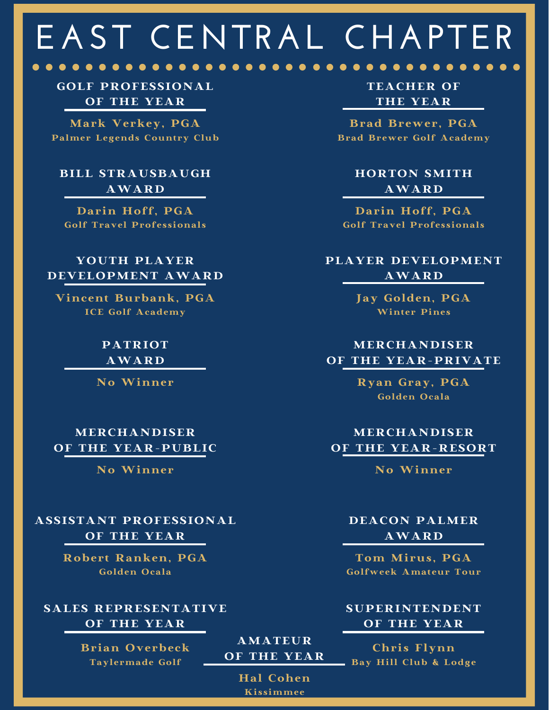# **EAST CENTRAL CHAPTER**

GOLF PROFESSIONAL OF THE YEAR

Mark Verkey, PGA Palmer Legends Country Club

### BILL STRAUSBAUGH AWARD

Darin Hoff, PGA Golf Travel Professionals

#### YOUTH PLAYER DEVELOPMENT AWARD

Vincent Burbank, PGA ICE Golf Academy

> PATRIOT AWARD

No Winner

MERCHANDISER OF THE YEAR-PUBLIC

No Winner

### ASSISTANT PROFESSIONAL OF THE YEAR

Robert Ranken, PGA Golden Ocala

SALES REPRESENTATIVE OF THE YEAR

> Brian Overbeck Taylermade Golf

TEACHER OF THE YEAR

. . . . . . . . . . . . . . .

Brad Brewer, PGA Brad Brewer Golf Academy

> HORTON SMITH AWARD

Darin Hoff, PGA Golf Travel Professionals

## PLAYER DEVELOPMENT AWARD

Jay Golden, PGA Winter Pines

#### MERCHANDISER OF THE YEAR-PRIVATE

Ryan Gray, PGA Golden Ocala

## MERCHANDISER OF THE YEAR-RESORT

No Winner

#### DEACON PALMER AWARD

Tom Mirus, PGA Golfweek Amateur Tour

SUPERINTENDENT OF THE YEAR

Chris Flynn Bay Hill Club & Lodge

Hal Cohen Kissimmee

AMATEUR OF THE YEAR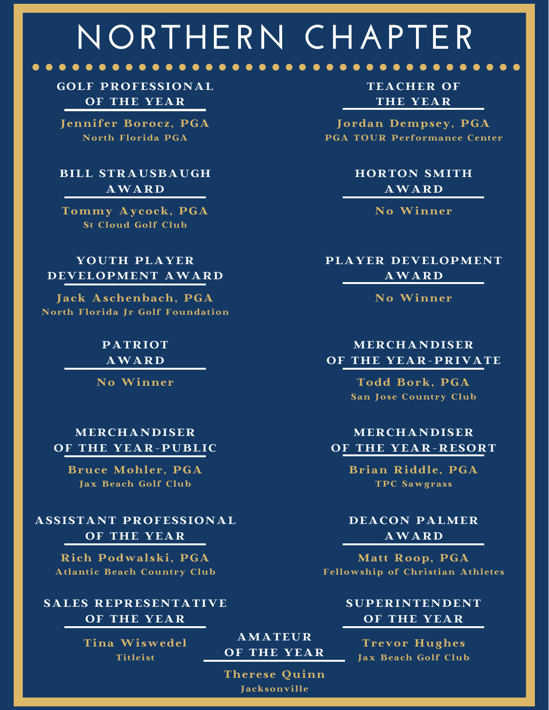## **NORTHERN CHAPTER**

GOLF PROFESSIONAL OF THE YEAR

. . . . . . . . . . . . . . . .

Jennifer Borocz, PGA North Florida PGA

#### BILL STRAUSBAUGH AWARD

Tommy Aycock, PGA St Cloud Golf Club

#### YOUTH PLAYER DEVELOPMENT AWARD

Jack Aschenbach, PGA North Florida Jr Golf Foundation

> PATRIOT AWARD

No Winner

#### MERCHANDISER OF THE YEAR-PUBLIC

Bruce Mohler, PGA Jax Beach Golf Club

## ASSISTANT PROFESSIONAL OF THE YEAR

Rich Podwalski, PGA Atlantic Beach Country Club

SALES REPRESENTATIVE OF THE YEAR

> Tina Wiswedel Titleist

TEACHER OF THE YEAR

 $\bullet\bullet\bullet$ 

. . . . . . . . . . . . . . . . . .

Jordan Dempsey, PGA PGA TOUR Performance Center

> HORTON SMITH AWARD

> > No Winner

PLAYER DEVELOPMENT AWARD

No Winner

## MERCHANDISER OF THE YEAR-PRIVATE

Todd Bork, PGA San Jose Country Club

## MERCHANDISER OF THE YEAR-RESORT

Brian Riddle, PGA TPC Sawgrass

#### DEACON PALMER AWARD

Matt Roop, PGA Fellowship of Christian Athletes

> SUPERINTENDENT OF THE YEAR

Trevor Hughes Jax Beach Golf Club

Therese Quinn Jacksonville

AMATEUR OF THE YEAR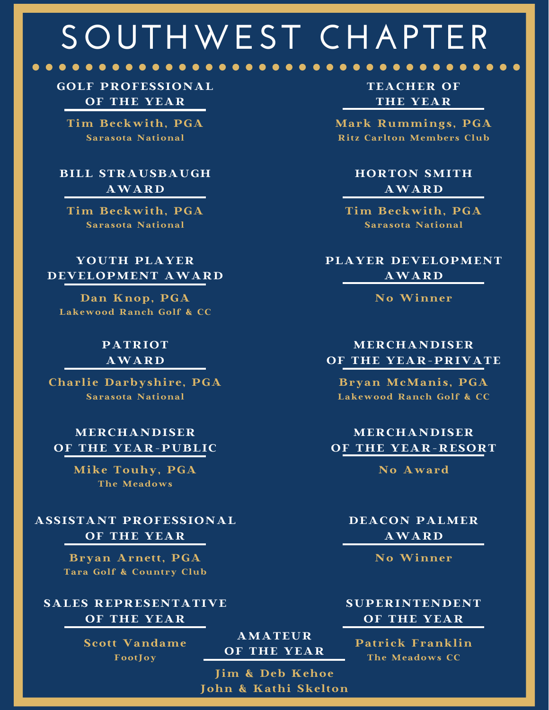# **SOUTHWEST CHAPTER**

## GOLF PROFESSIONAL OF THE YEAR

Tim Beckwith, PGA Sarasota National

## BILL STRAUSBAUGH AWARD

Tim Beckwith, PGA Sarasota National

#### YOUTH PLAYER DEVELOPMENT AWARD

Dan Knop, PGA Lakewood Ranch Golf & CC

#### PATRIOT AWARD

Charlie Darbyshire, PGA Sarasota National

#### MERCHANDISER OF THE YEAR-PUBLIC

Mike Touhy, PGA The Meadows

### ASSISTANT PROFESSIONAL OF THE YEAR

Bryan Arnett, PGA Tara Golf & Country Club

#### SALES REPRESENTATIVE OF THE YEAR

Scott Vandame FootJoy

TEACHER OF THE YEAR

Mark Rummings, PGA Ritz Carlton Members Club

## HORTON SMITH AWARD

Tim Beckwith, PGA Sarasota National

## PLAYER DEVELOPMENT AWARD

No Winner

## MERCHANDISER OF THE YEAR-PRIVATE

Bryan McManis, PGA Lakewood Ranch Golf & CC

## MERCHANDISER OF THE YEAR-RESORT

No Award

#### DEACON PALMER AWARD

No Winner

#### SUPERINTENDENT OF THE YEAR

Patrick Franklin The Meadows CC

AMATEUR OF THE YEAR

Jim & Deb Kehoe John & Kathi Skelton